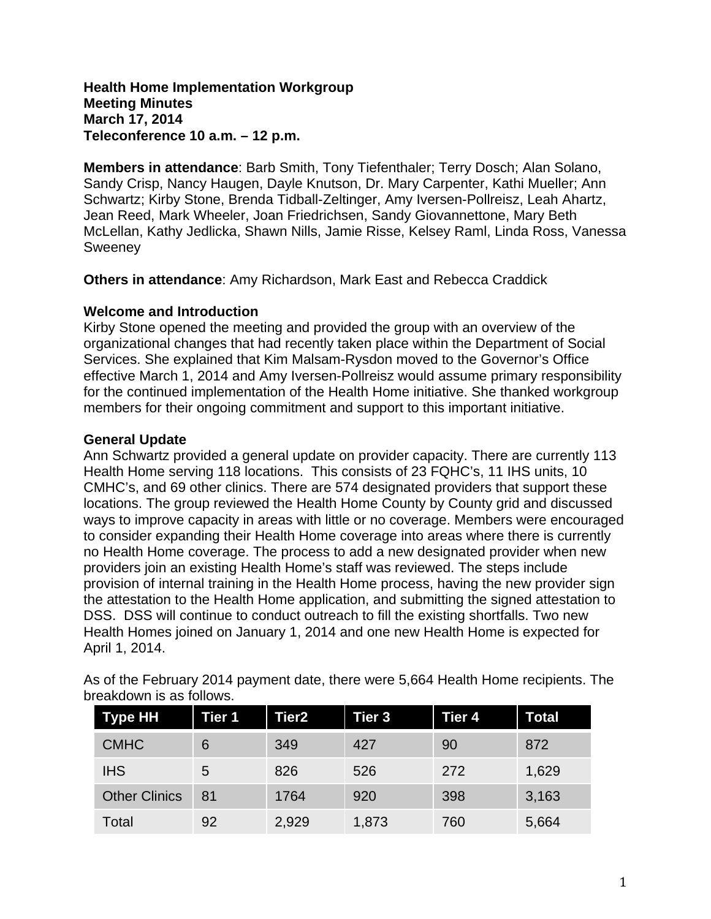### **Health Home Implementation Workgroup Meeting Minutes March 17, 2014 Teleconference 10 a.m. – 12 p.m.**

**Members in attendance**: Barb Smith, Tony Tiefenthaler; Terry Dosch; Alan Solano, Sandy Crisp, Nancy Haugen, Dayle Knutson, Dr. Mary Carpenter, Kathi Mueller; Ann Schwartz; Kirby Stone, Brenda Tidball-Zeltinger, Amy Iversen-Pollreisz, Leah Ahartz, Jean Reed, Mark Wheeler, Joan Friedrichsen, Sandy Giovannettone, Mary Beth McLellan, Kathy Jedlicka, Shawn Nills, Jamie Risse, Kelsey Raml, Linda Ross, Vanessa Sweeney

**Others in attendance**: Amy Richardson, Mark East and Rebecca Craddick

## **Welcome and Introduction**

Kirby Stone opened the meeting and provided the group with an overview of the organizational changes that had recently taken place within the Department of Social Services. She explained that Kim Malsam-Rysdon moved to the Governor's Office effective March 1, 2014 and Amy Iversen-Pollreisz would assume primary responsibility for the continued implementation of the Health Home initiative. She thanked workgroup members for their ongoing commitment and support to this important initiative.

## **General Update**

Ann Schwartz provided a general update on provider capacity. There are currently 113 Health Home serving 118 locations. This consists of 23 FQHC's, 11 IHS units, 10 CMHC's, and 69 other clinics. There are 574 designated providers that support these locations. The group reviewed the Health Home County by County grid and discussed ways to improve capacity in areas with little or no coverage. Members were encouraged to consider expanding their Health Home coverage into areas where there is currently no Health Home coverage. The process to add a new designated provider when new providers join an existing Health Home's staff was reviewed. The steps include provision of internal training in the Health Home process, having the new provider sign the attestation to the Health Home application, and submitting the signed attestation to DSS. DSS will continue to conduct outreach to fill the existing shortfalls. Two new Health Homes joined on January 1, 2014 and one new Health Home is expected for April 1, 2014.

| <b>Type HH</b>       | Tier 1 | Tier <sub>2</sub> | Tier 3 | Tier 4 | Total |
|----------------------|--------|-------------------|--------|--------|-------|
| <b>CMHC</b>          | 6      | 349               | 427    | 90     | 872   |
| <b>IHS</b>           | 5      | 826               | 526    | 272    | 1,629 |
| <b>Other Clinics</b> | 81     | 1764              | 920    | 398    | 3,163 |
| Total                | 92     | 2,929             | 1,873  | 760    | 5,664 |

As of the February 2014 payment date, there were 5,664 Health Home recipients. The breakdown is as follows.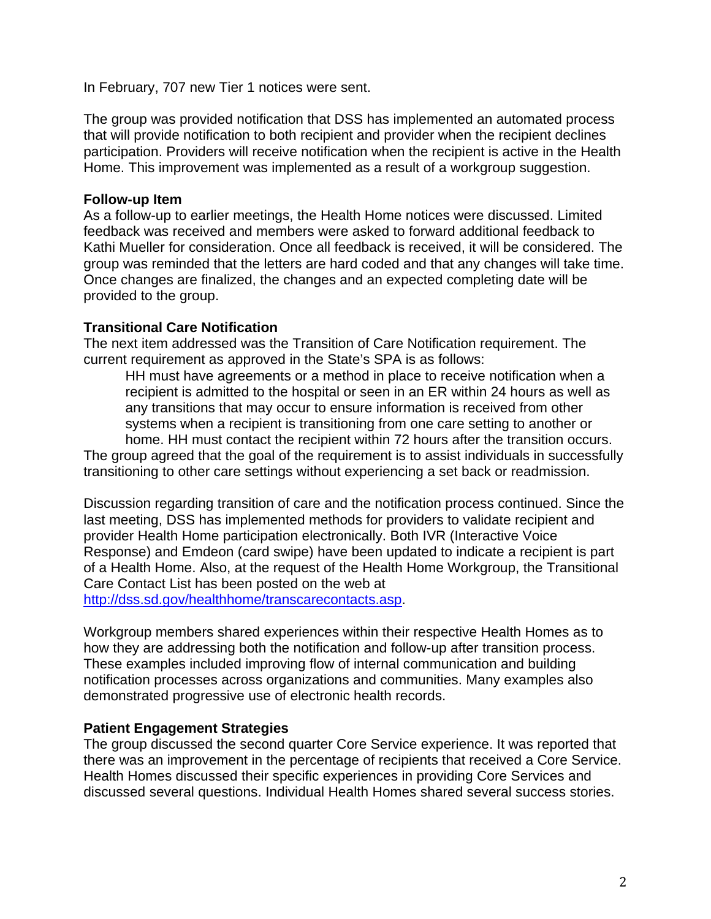In February, 707 new Tier 1 notices were sent.

The group was provided notification that DSS has implemented an automated process that will provide notification to both recipient and provider when the recipient declines participation. Providers will receive notification when the recipient is active in the Health Home. This improvement was implemented as a result of a workgroup suggestion.

#### **Follow-up Item**

As a follow-up to earlier meetings, the Health Home notices were discussed. Limited feedback was received and members were asked to forward additional feedback to Kathi Mueller for consideration. Once all feedback is received, it will be considered. The group was reminded that the letters are hard coded and that any changes will take time. Once changes are finalized, the changes and an expected completing date will be provided to the group.

### **Transitional Care Notification**

The next item addressed was the Transition of Care Notification requirement. The current requirement as approved in the State's SPA is as follows:

 HH must have agreements or a method in place to receive notification when a recipient is admitted to the hospital or seen in an ER within 24 hours as well as any transitions that may occur to ensure information is received from other systems when a recipient is transitioning from one care setting to another or home. HH must contact the recipient within 72 hours after the transition occurs.

The group agreed that the goal of the requirement is to assist individuals in successfully transitioning to other care settings without experiencing a set back or readmission.

Discussion regarding transition of care and the notification process continued. Since the last meeting, DSS has implemented methods for providers to validate recipient and provider Health Home participation electronically. Both IVR (Interactive Voice Response) and Emdeon (card swipe) have been updated to indicate a recipient is part of a Health Home. Also, at the request of the Health Home Workgroup, the Transitional Care Contact List has been posted on the web at

http://dss.sd.gov/healthhome/transcarecontacts.asp.

Workgroup members shared experiences within their respective Health Homes as to how they are addressing both the notification and follow-up after transition process. These examples included improving flow of internal communication and building notification processes across organizations and communities. Many examples also demonstrated progressive use of electronic health records.

## **Patient Engagement Strategies**

The group discussed the second quarter Core Service experience. It was reported that there was an improvement in the percentage of recipients that received a Core Service. Health Homes discussed their specific experiences in providing Core Services and discussed several questions. Individual Health Homes shared several success stories.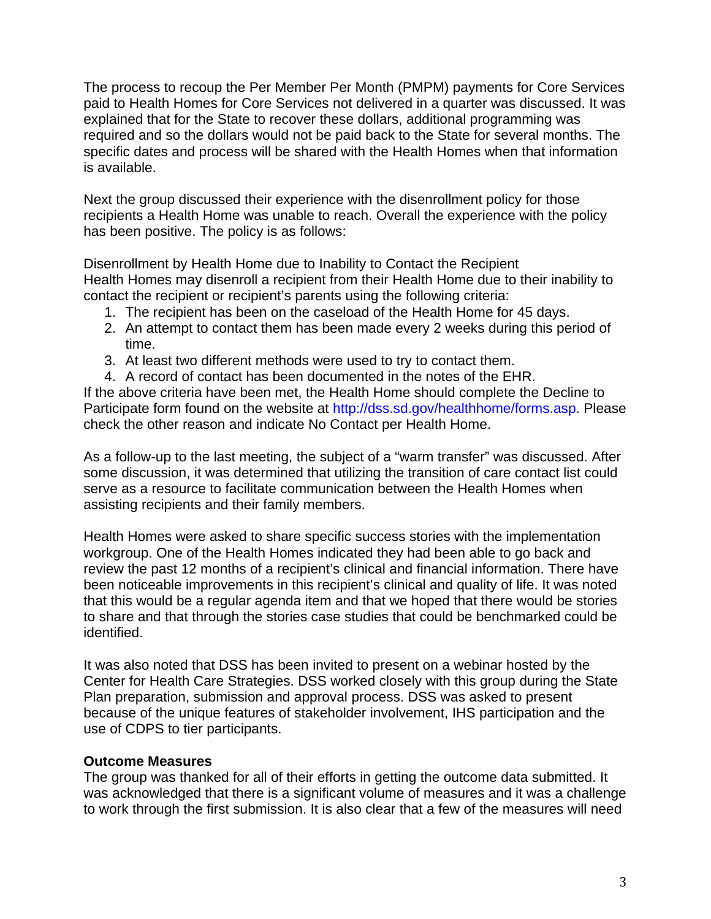The process to recoup the Per Member Per Month (PMPM) payments for Core Services paid to Health Homes for Core Services not delivered in a quarter was discussed. It was explained that for the State to recover these dollars, additional programming was required and so the dollars would not be paid back to the State for several months. The specific dates and process will be shared with the Health Homes when that information is available.

Next the group discussed their experience with the disenrollment policy for those recipients a Health Home was unable to reach. Overall the experience with the policy has been positive. The policy is as follows:

Disenrollment by Health Home due to Inability to Contact the Recipient Health Homes may disenroll a recipient from their Health Home due to their inability to contact the recipient or recipient's parents using the following criteria:

- 1. The recipient has been on the caseload of the Health Home for 45 days.
- 2. An attempt to contact them has been made every 2 weeks during this period of time.
- 3. At least two different methods were used to try to contact them.
- 4. A record of contact has been documented in the notes of the EHR.

If the above criteria have been met, the Health Home should complete the Decline to Participate form found on the website at http://dss.sd.gov/healthhome/forms.asp. Please check the other reason and indicate No Contact per Health Home.

As a follow-up to the last meeting, the subject of a "warm transfer" was discussed. After some discussion, it was determined that utilizing the transition of care contact list could serve as a resource to facilitate communication between the Health Homes when assisting recipients and their family members.

Health Homes were asked to share specific success stories with the implementation workgroup. One of the Health Homes indicated they had been able to go back and review the past 12 months of a recipient's clinical and financial information. There have been noticeable improvements in this recipient's clinical and quality of life. It was noted that this would be a regular agenda item and that we hoped that there would be stories to share and that through the stories case studies that could be benchmarked could be identified.

It was also noted that DSS has been invited to present on a webinar hosted by the Center for Health Care Strategies. DSS worked closely with this group during the State Plan preparation, submission and approval process. DSS was asked to present because of the unique features of stakeholder involvement, IHS participation and the use of CDPS to tier participants.

# **Outcome Measures**

The group was thanked for all of their efforts in getting the outcome data submitted. It was acknowledged that there is a significant volume of measures and it was a challenge to work through the first submission. It is also clear that a few of the measures will need